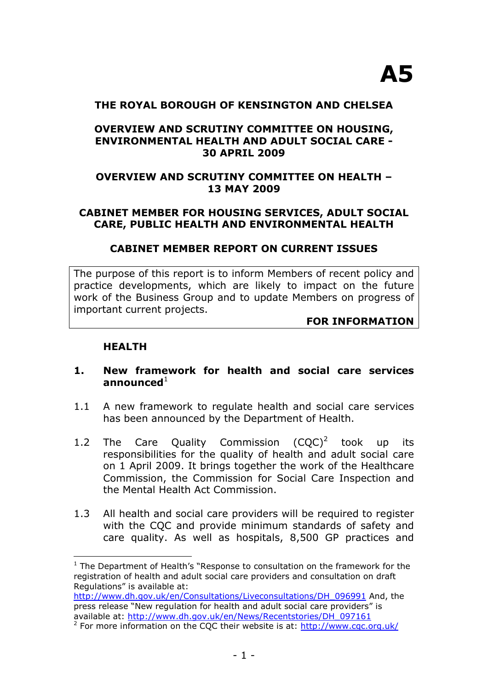#### **THE ROYAL BOROUGH OF KENSINGTON AND CHELSEA**

### **OVERVIEW AND SCRUTINY COMMITTEE ON HOUSING, ENVIRONMENTAL HEALTH AND ADULT SOCIAL CARE - 30 APRIL 2009**

### **OVERVIEW AND SCRUTINY COMMITTEE ON HEALTH – 13 MAY 2009**

### **CABINET MEMBER FOR HOUSING SERVICES, ADULT SOCIAL CARE, PUBLIC HEALTH AND ENVIRONMENTAL HEALTH**

#### **CABINET MEMBER REPORT ON CURRENT ISSUES**

The purpose of this report is to inform Members of recent policy and practice developments, which are likely to impact on the future work of the Business Group and to update Members on progress of important current projects.

#### **FOR INFORMATION**

### **HEALTH**

 $\overline{a}$ 

#### **1. New framework for health and social care services** announced $1$

- 1.1 A new framework to regulate health and social care services has been announced by the Department of Health.
- 1.2 The Care Quality Commission  $(CQC)^2$  took up its responsibilities for the quality of health and adult social care on 1 April 2009. It brings together the work of the Healthcare Commission, the Commission for Social Care Inspection and the Mental Health Act Commission.
- 1.3 All health and social care providers will be required to register with the CQC and provide minimum standards of safety and care quality. As well as hospitals, 8,500 GP practices and

<sup>&</sup>lt;sup>1</sup> The Department of Health's "Response to consultation on the framework for the registration of health and adult social care providers and consultation on draft Regulations" is available at:

[http://www.dh.gov.uk/en/Consultations/Liveconsultations/DH\\_096991](http://www.dh.gov.uk/en/Consultations/Liveconsultations/DH_096991) And, the press release "New regulation for health and adult social care providers" is available at: [http://www.dh.gov.uk/en/News/Recentstories/DH\\_097161](http://www.dh.gov.uk/en/News/Recentstories/DH_097161)

<sup>&</sup>lt;sup>2</sup> For more information on the CQC their website is at: <http://www.cqc.org.uk/>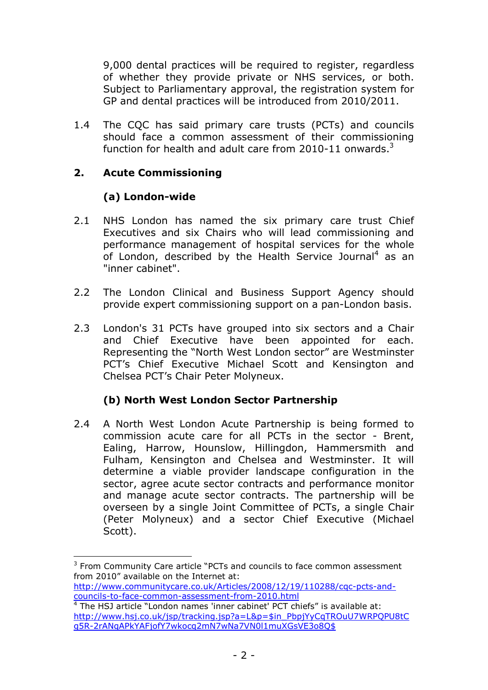9,000 dental practices will be required to register, regardless of whether they provide private or NHS services, or both. Subject to Parliamentary approval, the registration system for GP and dental practices will be introduced from 2010/2011.

1.4 The CQC has said primary care trusts (PCTs) and councils should face a common assessment of their commissioning function for health and adult care from 2010-11 onwards. $3$ 

## **2. Acute Commissioning**

## **(a) London-wide**

 $\overline{a}$ 

- 2.1 NHS London has named the six primary care trust Chief Executives and six Chairs who will lead commissioning and performance management of hospital services for the whole of London, described by the Health Service Journal<sup>4</sup> as an "inner cabinet".
- 2.2 The London Clinical and Business Support Agency should provide expert commissioning support on a pan-London basis.
- 2.3 London's 31 PCTs have grouped into six sectors and a Chair and Chief Executive have been appointed for each. Representing the "North West London sector" are Westminster PCT's Chief Executive Michael Scott and Kensington and Chelsea PCT's Chair Peter Molyneux.

## **(b) North West London Sector Partnership**

2.4 A North West London Acute Partnership is being formed to commission acute care for all PCTs in the sector - Brent, Ealing, Harrow, Hounslow, Hillingdon, Hammersmith and Fulham, Kensington and Chelsea and Westminster. It will determine a viable provider landscape configuration in the sector, agree acute sector contracts and performance monitor and manage acute sector contracts. The partnership will be overseen by a single Joint Committee of PCTs, a single Chair (Peter Molyneux) and a sector Chief Executive (Michael Scott).

<sup>&</sup>lt;sup>3</sup> From Community Care article "PCTs and councils to face common assessment from 2010" available on the Internet at:

[http://www.communitycare.co.uk/Articles/2008/12/19/110288/cqc-pcts-and](http://www.communitycare.co.uk/Articles/2008/12/19/110288/cqc-pcts-and-councils-to-face-common-assessment-from-2010.html)[councils-to-face-common-assessment-from-2010.html](http://www.communitycare.co.uk/Articles/2008/12/19/110288/cqc-pcts-and-councils-to-face-common-assessment-from-2010.html)

<sup>&</sup>lt;sup>4</sup> The HSJ article "London names 'inner cabinet' PCT chiefs" is available at: [http://www.hsj.co.uk/jsp/tracking.jsp?a=L&p=\\$in\\_PbpjYyCqTROuU7WRPQPU8t](http://www.hsj.co.uk/jsp/tracking.jsp?a=L&p=$in_PbpjYyCqTROuU7WRPQPU8tCg5R-2rANqAPkYAFjofY7wkocq2mN7wNa7VN0l1muXGsVE3o8Q$)C [g5R-2rANqAPkYAFjofY7wkocq2mN7wNa7VN0l1muXGsVE3o8Q\\$](http://www.hsj.co.uk/jsp/tracking.jsp?a=L&p=$in_PbpjYyCqTROuU7WRPQPU8tCg5R-2rANqAPkYAFjofY7wkocq2mN7wNa7VN0l1muXGsVE3o8Q$)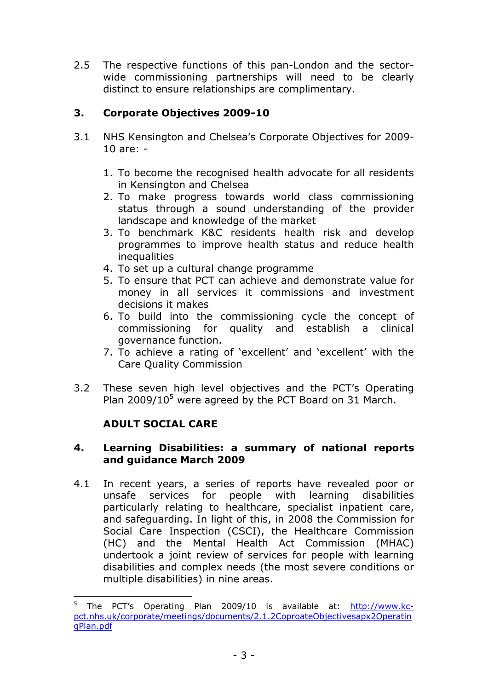2.5 The respective functions of this pan-London and the sectorwide commissioning partnerships will need to be clearly distinct to ensure relationships are complimentary.

# **3. Corporate Objectives 2009-10**

- 3.1 NHS Kensington and Chelsea's Corporate Objectives for 2009- 10 are: -
	- 1. To become the recognised health advocate for all residents in Kensington and Chelsea
	- 2. To make progress towards world class commissioning status through a sound understanding of the provider landscape and knowledge of the market
	- 3. To benchmark K&C residents health risk and develop programmes to improve health status and reduce health **inequalities**
	- 4. To set up a cultural change programme
	- 5. To ensure that PCT can achieve and demonstrate value for money in all services it commissions and investment decisions it makes
	- 6. To build into the commissioning cycle the concept of commissioning for quality and establish a clinical governance function.
	- 7. To achieve a rating of 'excellent' and 'excellent' with the Care Quality Commission
- 3.2 These seven high level objectives and the PCT's Operating Plan  $2009/10^5$  were agreed by the PCT Board on 31 March.

## **ADULT SOCIAL CARE**

 $\overline{a}$ 

### **4. Learning Disabilities: a summary of national reports and guidance March 2009**

4.1 In recent years, a series of reports have revealed poor or unsafe services for people with learning disabilities particularly relating to healthcare, specialist inpatient care, and safeguarding. In light of this, in 2008 the Commission for Social Care Inspection (CSCI), the Healthcare Commission (HC) and the Mental Health Act Commission (MHAC) undertook a joint review of services for people with learning disabilities and complex needs (the most severe conditions or multiple disabilities) in nine areas.

<sup>5</sup> The PCT's Operating Plan 2009/10 is available at: [http://www.kc](http://www.kc-pct.nhs.uk/corporate/meetings/documents/2.1.2CoproateObjectivesapx2OperatingPlan.pdf)[pct.nhs.uk/corporate/meetings/documents/2.1.2CoproateObjectivesapx2Operat](http://www.kc-pct.nhs.uk/corporate/meetings/documents/2.1.2CoproateObjectivesapx2OperatingPlan.pdf)in [gPlan.pdf](http://www.kc-pct.nhs.uk/corporate/meetings/documents/2.1.2CoproateObjectivesapx2OperatingPlan.pdf)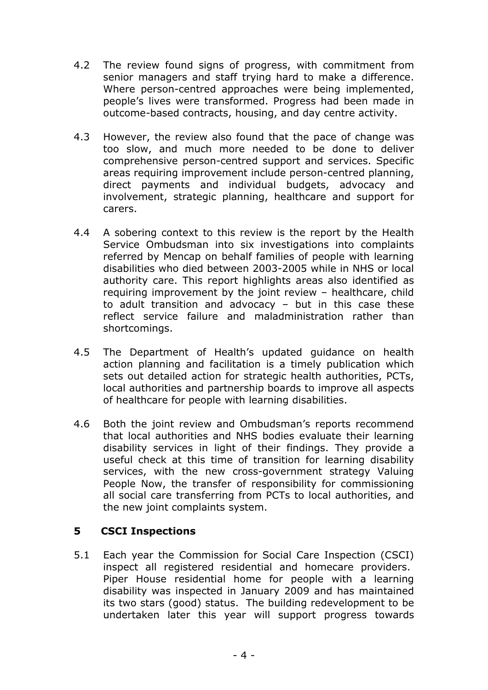- 4.2 The review found signs of progress, with commitment from senior managers and staff trying hard to make a difference. Where person-centred approaches were being implemented, people's lives were transformed. Progress had been made in outcome-based contracts, housing, and day centre activity.
- 4.3 However, the review also found that the pace of change was too slow, and much more needed to be done to deliver comprehensive person-centred support and services. Specific areas requiring improvement include person-centred planning, direct payments and individual budgets, advocacy and involvement, strategic planning, healthcare and support for carers.
- 4.4 A sobering context to this review is the report by the Health Service Ombudsman into six investigations into complaints referred by Mencap on behalf families of people with learning disabilities who died between 2003-2005 while in NHS or local authority care. This report highlights areas also identified as requiring improvement by the joint review – healthcare, child to adult transition and advocacy – but in this case these reflect service failure and maladministration rather than shortcomings.
- 4.5 The Department of Health's updated guidance on health action planning and facilitation is a timely publication which sets out detailed action for strategic health authorities, PCTs, local authorities and partnership boards to improve all aspects of healthcare for people with learning disabilities.
- 4.6 Both the joint review and Ombudsman's reports recommend that local authorities and NHS bodies evaluate their learning disability services in light of their findings. They provide a useful check at this time of transition for learning disability services, with the new cross-government strategy Valuing People Now, the transfer of responsibility for commissioning all social care transferring from PCTs to local authorities, and the new joint complaints system.

## **5 CSCI Inspections**

5.1 Each year the Commission for Social Care Inspection (CSCI) inspect all registered residential and homecare providers. Piper House residential home for people with a learning disability was inspected in January 2009 and has maintained its two stars (good) status. The building redevelopment to be undertaken later this year will support progress towards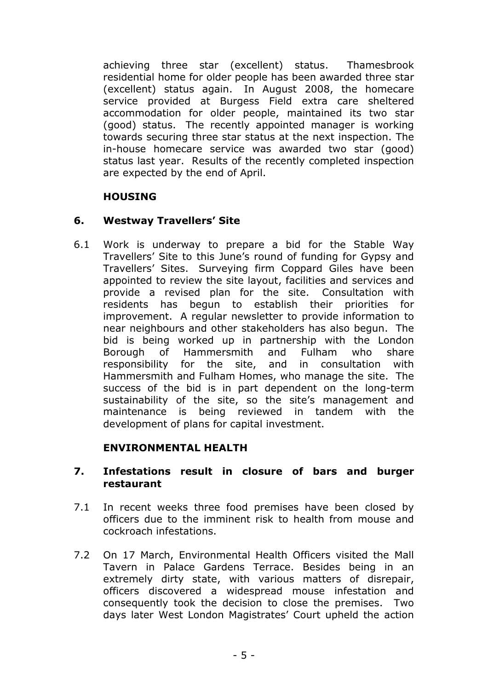achieving three star (excellent) status. Thamesbrook residential home for older people has been awarded three star (excellent) status again. In August 2008, the homecare service provided at Burgess Field extra care sheltered accommodation for older people, maintained its two star (good) status. The recently appointed manager is working towards securing three star status at the next inspection. The in-house homecare service was awarded two star (good) status last year. Results of the recently completed inspection are expected by the end of April.

## **HOUSING**

## **6. Westway Travellers' Site**

6.1 Work is underway to prepare a bid for the Stable Way Travellers' Site to this June's round of funding for Gypsy and Travellers' Sites. Surveying firm Coppard Giles have been appointed to review the site layout, facilities and services and provide a revised plan for the site. Consultation with residents has begun to establish their priorities for improvement. A regular newsletter to provide information to near neighbours and other stakeholders has also begun. The bid is being worked up in partnership with the London Borough of Hammersmith and Fulham who share responsibility for the site, and in consultation with Hammersmith and Fulham Homes, who manage the site. The success of the bid is in part dependent on the long-term sustainability of the site, so the site's management and maintenance is being reviewed in tandem with the development of plans for capital investment.

## **ENVIRONMENTAL HEALTH**

### **7. Infestations result in closure of bars and burger restaurant**

- 7.1 In recent weeks three food premises have been closed by officers due to the imminent risk to health from mouse and cockroach infestations.
- 7.2 On 17 March, Environmental Health Officers visited the Mall Tavern in Palace Gardens Terrace. Besides being in an extremely dirty state, with various matters of disrepair, officers discovered a widespread mouse infestation and consequently took the decision to close the premises. Two days later West London Magistrates' Court upheld the action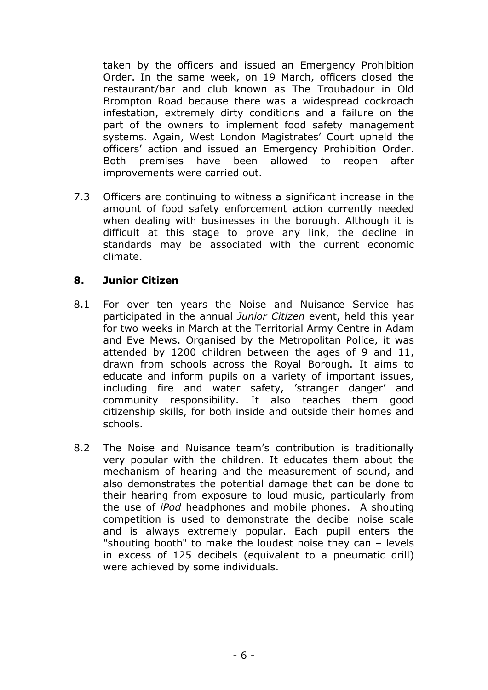taken by the officers and issued an Emergency Prohibition Order. In the same week, on 19 March, officers closed the restaurant/bar and club known as The Troubadour in Old Brompton Road because there was a widespread cockroach infestation, extremely dirty conditions and a failure on the part of the owners to implement food safety management systems. Again, West London Magistrates' Court upheld the officers' action and issued an Emergency Prohibition Order. Both premises have been allowed to reopen after improvements were carried out.

7.3 Officers are continuing to witness a significant increase in the amount of food safety enforcement action currently needed when dealing with businesses in the borough. Although it is difficult at this stage to prove any link, the decline in standards may be associated with the current economic climate.

### **8. Junior Citizen**

- 8.1 For over ten years the Noise and Nuisance Service has participated in the annual *Junior Citizen* event, held this year for two weeks in March at the Territorial Army Centre in Adam and Eve Mews. Organised by the Metropolitan Police, it was attended by 1200 children between the ages of 9 and 11, drawn from schools across the Royal Borough. It aims to educate and inform pupils on a variety of important issues, including fire and water safety, 'stranger danger' and community responsibility. It also teaches them good citizenship skills, for both inside and outside their homes and schools.
- 8.2 The Noise and Nuisance team's contribution is traditionally very popular with the children. It educates them about the mechanism of hearing and the measurement of sound, and also demonstrates the potential damage that can be done to their hearing from exposure to loud music, particularly from the use of *iPod* headphones and mobile phones. A shouting competition is used to demonstrate the decibel noise scale and is always extremely popular. Each pupil enters the "shouting booth" to make the loudest noise they can – levels in excess of 125 decibels (equivalent to a pneumatic drill) were achieved by some individuals.